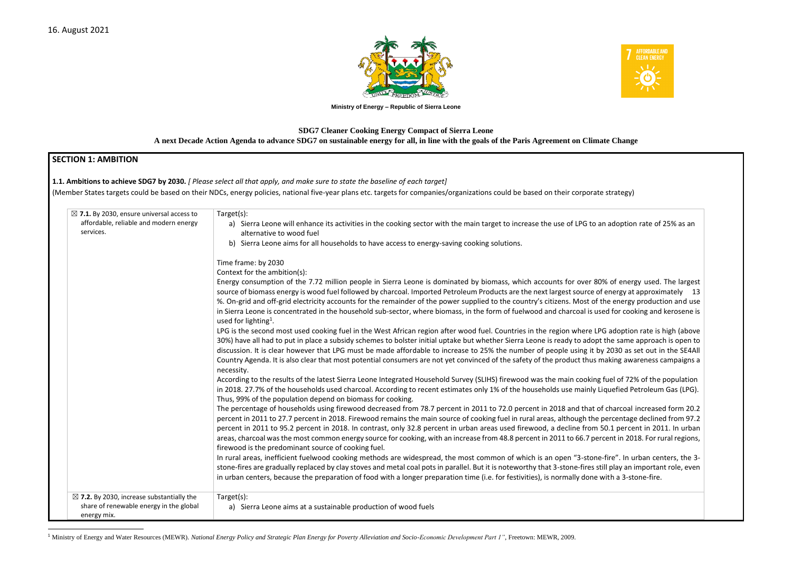

**Ministry of Energy – Republic of Sierra Leone**

## **SDG7 Cleaner Cooking Energy Compact of Sierra Leone A next Decade Action Agenda to advance SDG7 on sustainable energy for all, in line with the goals of the Paris Agreement on Climate Change**

### **SECTION 1: AMBITION**

**1.1. Ambitions to achieve SDG7 by 2030.** *[ Please select all that apply, and make sure to state the baseline of each target]* 

(Member States targets could be based on their NDCs, energy policies, national five-year plans etc. targets for companies/organizations could be based on their corporate strategy)

| $\boxtimes$ 7.1. By 2030, ensure universal access to<br>affordable, reliable and modern energy<br>services.    | Target(s):<br>a) Sierra Leone will enhance its activities in the cooking sector with the main target to increase the use of LPG to<br>alternative to wood fuel                                                                                                                                                                                                                                                                                                                                                                                                                                                                                                                                                                                                                                                                                                                                                                                                                                                                                                                                                                                                                                                                                                                                                                                                                                                                                                                                                                                                                                                                                                                                                                                                                                                                                                                                                                                                                                                                                                                                                                                                                                                                                                                                                                                                                                                                                                   |
|----------------------------------------------------------------------------------------------------------------|------------------------------------------------------------------------------------------------------------------------------------------------------------------------------------------------------------------------------------------------------------------------------------------------------------------------------------------------------------------------------------------------------------------------------------------------------------------------------------------------------------------------------------------------------------------------------------------------------------------------------------------------------------------------------------------------------------------------------------------------------------------------------------------------------------------------------------------------------------------------------------------------------------------------------------------------------------------------------------------------------------------------------------------------------------------------------------------------------------------------------------------------------------------------------------------------------------------------------------------------------------------------------------------------------------------------------------------------------------------------------------------------------------------------------------------------------------------------------------------------------------------------------------------------------------------------------------------------------------------------------------------------------------------------------------------------------------------------------------------------------------------------------------------------------------------------------------------------------------------------------------------------------------------------------------------------------------------------------------------------------------------------------------------------------------------------------------------------------------------------------------------------------------------------------------------------------------------------------------------------------------------------------------------------------------------------------------------------------------------------------------------------------------------------------------------------------------------|
|                                                                                                                | b) Sierra Leone aims for all households to have access to energy-saving cooking solutions.<br>Time frame: by 2030<br>Context for the ambition(s):<br>Energy consumption of the 7.72 million people in Sierra Leone is dominated by biomass, which accounts for over 8<br>source of biomass energy is wood fuel followed by charcoal. Imported Petroleum Products are the next largest source o<br>%. On-grid and off-grid electricity accounts for the remainder of the power supplied to the country's citizens. Most of<br>in Sierra Leone is concentrated in the household sub-sector, where biomass, in the form of fuelwood and charcoal is u<br>used for lighting <sup>1</sup> .<br>LPG is the second most used cooking fuel in the West African region after wood fuel. Countries in the region where LI<br>30%) have all had to put in place a subsidy schemes to bolster initial uptake but whether Sierra Leone is ready to adop<br>discussion. It is clear however that LPG must be made affordable to increase to 25% the number of people using it b<br>Country Agenda. It is also clear that most potential consumers are not yet convinced of the safety of the product thus<br>necessity.<br>According to the results of the latest Sierra Leone Integrated Household Survey (SLIHS) firewood was the main cooking<br>in 2018. 27.7% of the households used charcoal. According to recent estimates only 1% of the households use mainly I<br>Thus, 99% of the population depend on biomass for cooking.<br>The percentage of households using firewood decreased from 78.7 percent in 2011 to 72.0 percent in 2018 and that o<br>percent in 2011 to 27.7 percent in 2018. Firewood remains the main source of cooking fuel in rural areas, although the<br>percent in 2011 to 95.2 percent in 2018. In contrast, only 32.8 percent in urban areas used firewood, a decline from<br>areas, charcoal was the most common energy source for cooking, with an increase from 48.8 percent in 2011 to 66.7 pe<br>firewood is the predominant source of cooking fuel.<br>In rural areas, inefficient fuelwood cooking methods are widespread, the most common of which is an open "3-ston<br>stone-fires are gradually replaced by clay stoves and metal coal pots in parallel. But it is noteworthy that 3-stone-fires s<br>in urban centers, because the preparation of food with a longer preparation time (i.e. for festivities), is normally done |
| $\boxtimes$ 7.2. By 2030, increase substantially the<br>share of renewable energy in the global<br>energy mix. | Target(s):<br>a) Sierra Leone aims at a sustainable production of wood fuels                                                                                                                                                                                                                                                                                                                                                                                                                                                                                                                                                                                                                                                                                                                                                                                                                                                                                                                                                                                                                                                                                                                                                                                                                                                                                                                                                                                                                                                                                                                                                                                                                                                                                                                                                                                                                                                                                                                                                                                                                                                                                                                                                                                                                                                                                                                                                                                     |



an adoption rate of 25% as an

80% of energy used. The largest of energy at approximately 13 the energy production and use ised for cooking and kerosene is

PG adoption rate is high (above ot the same approach is open to by 2030 as set out in the SE4All making awareness campaigns a

g fuel of 72% of the population Liquefied Petroleum Gas (LPG).

of charcoal increased form 20.2 percentage declined from 97.2 50.1 percent in 2011. In urban ercent in 2018. For rural regions,

In urban centers, the 3still play an important role, even with a 3-stone-fire.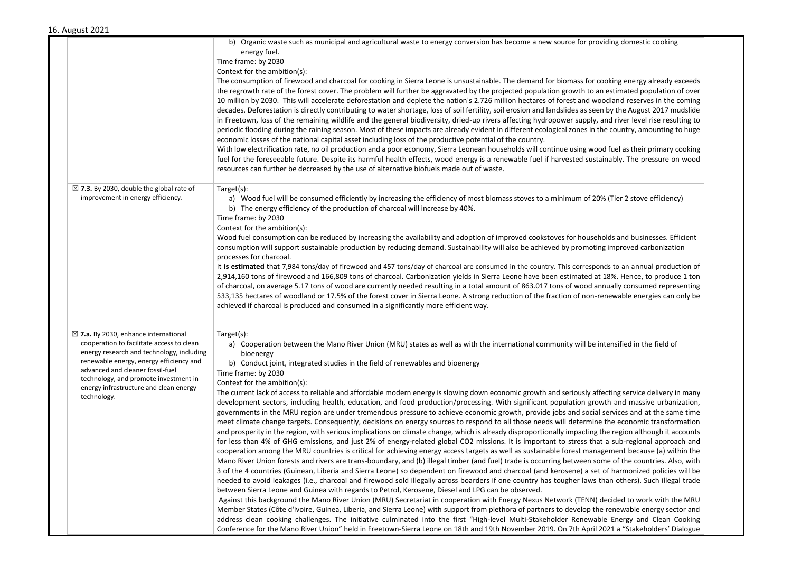| August 2021                                                                                                                                                                                                                                                                                                                |                                                                                                                                                                                                                                                                                                                                                                                                                                                                                                                                                                                                                                                                                                                                                                                                                                                                                                                                                                                                                                                                                                                                                                                                                                                                                                                                                                                                                                                                                                                                                                                                                                                                                                                                                                                                                                                                                                                                                                                                                                                                                                                                                                                                                                                                                                                                                                                                                                                                                                                                                                                        |  |
|----------------------------------------------------------------------------------------------------------------------------------------------------------------------------------------------------------------------------------------------------------------------------------------------------------------------------|----------------------------------------------------------------------------------------------------------------------------------------------------------------------------------------------------------------------------------------------------------------------------------------------------------------------------------------------------------------------------------------------------------------------------------------------------------------------------------------------------------------------------------------------------------------------------------------------------------------------------------------------------------------------------------------------------------------------------------------------------------------------------------------------------------------------------------------------------------------------------------------------------------------------------------------------------------------------------------------------------------------------------------------------------------------------------------------------------------------------------------------------------------------------------------------------------------------------------------------------------------------------------------------------------------------------------------------------------------------------------------------------------------------------------------------------------------------------------------------------------------------------------------------------------------------------------------------------------------------------------------------------------------------------------------------------------------------------------------------------------------------------------------------------------------------------------------------------------------------------------------------------------------------------------------------------------------------------------------------------------------------------------------------------------------------------------------------------------------------------------------------------------------------------------------------------------------------------------------------------------------------------------------------------------------------------------------------------------------------------------------------------------------------------------------------------------------------------------------------------------------------------------------------------------------------------------------------|--|
| $\boxtimes$ 7.3. By 2030, double the global rate of<br>improvement in energy efficiency.                                                                                                                                                                                                                                   | b) Organic waste such as municipal and agricultural waste to energy conversion has become a new source for providing domestic cooking<br>energy fuel.<br>Time frame: by 2030<br>Context for the ambition(s):<br>The consumption of firewood and charcoal for cooking in Sierra Leone is unsustainable. The demand for biomass for cooking energy already exceeds<br>the regrowth rate of the forest cover. The problem will further be aggravated by the projected population growth to an estimated population of over<br>10 million by 2030. This will accelerate deforestation and deplete the nation's 2.726 million hectares of forest and woodland reserves in the coming<br>decades. Deforestation is directly contributing to water shortage, loss of soil fertility, soil erosion and landslides as seen by the August 2017 mudslide<br>in Freetown, loss of the remaining wildlife and the general biodiversity, dried-up rivers affecting hydropower supply, and river level rise resulting to<br>periodic flooding during the raining season. Most of these impacts are already evident in different ecological zones in the country, amounting to huge<br>economic losses of the national capital asset including loss of the productive potential of the country.<br>With low electrification rate, no oil production and a poor economy, Sierra Leonean households will continue using wood fuel as their primary cooking<br>fuel for the foreseeable future. Despite its harmful health effects, wood energy is a renewable fuel if harvested sustainably. The pressure on wood<br>resources can further be decreased by the use of alternative biofuels made out of waste.<br>Target(s):<br>a) Wood fuel will be consumed efficiently by increasing the efficiency of most biomass stoves to a minimum of 20% (Tier 2 stove efficiency)<br>b) The energy efficiency of the production of charcoal will increase by 40%.<br>Time frame: by 2030                                                                                                                                                                                                                                                                                                                                                                                                                                                                                                                                                                                                                        |  |
|                                                                                                                                                                                                                                                                                                                            | Context for the ambition(s):<br>Wood fuel consumption can be reduced by increasing the availability and adoption of improved cookstoves for households and businesses. Efficient<br>consumption will support sustainable production by reducing demand. Sustainability will also be achieved by promoting improved carbonization<br>processes for charcoal.<br>It is estimated that 7,984 tons/day of firewood and 457 tons/day of charcoal are consumed in the country. This corresponds to an annual production of<br>2,914,160 tons of firewood and 166,809 tons of charcoal. Carbonization yields in Sierra Leone have been estimated at 18%. Hence, to produce 1 ton<br>of charcoal, on average 5.17 tons of wood are currently needed resulting in a total amount of 863.017 tons of wood annually consumed representing<br>533,135 hectares of woodland or 17.5% of the forest cover in Sierra Leone. A strong reduction of the fraction of non-renewable energies can only be<br>achieved if charcoal is produced and consumed in a significantly more efficient way.                                                                                                                                                                                                                                                                                                                                                                                                                                                                                                                                                                                                                                                                                                                                                                                                                                                                                                                                                                                                                                                                                                                                                                                                                                                                                                                                                                                                                                                                                                          |  |
| $\boxtimes$ 7.a. By 2030, enhance international<br>cooperation to facilitate access to clean<br>energy research and technology, including<br>renewable energy, energy efficiency and<br>advanced and cleaner fossil-fuel<br>technology, and promote investment in<br>energy infrastructure and clean energy<br>technology. | $Target(s)$ :<br>a) Cooperation between the Mano River Union (MRU) states as well as with the international community will be intensified in the field of<br>bioenergy<br>b) Conduct joint, integrated studies in the field of renewables and bioenergy<br>Time frame: by 2030<br>Context for the ambition(s):<br>The current lack of access to reliable and affordable modern energy is slowing down economic growth and seriously affecting service delivery in many<br>development sectors, including health, education, and food production/processing. With significant population growth and massive urbanization,<br>governments in the MRU region are under tremendous pressure to achieve economic growth, provide jobs and social services and at the same time<br>meet climate change targets. Consequently, decisions on energy sources to respond to all those needs will determine the economic transformation<br>and prosperity in the region, with serious implications on climate change, which is already disproportionally impacting the region although it accounts<br>for less than 4% of GHG emissions, and just 2% of energy-related global CO2 missions. It is important to stress that a sub-regional approach and<br>cooperation among the MRU countries is critical for achieving energy access targets as well as sustainable forest management because (a) within the<br>Mano River Union forests and rivers are trans-boundary, and (b) illegal timber (and fuel) trade is occurring between some of the countries. Also, with<br>3 of the 4 countries (Guinean, Liberia and Sierra Leone) so dependent on firewood and charcoal (and kerosene) a set of harmonized policies will be<br>needed to avoid leakages (i.e., charcoal and firewood sold illegally across boarders if one country has tougher laws than others). Such illegal trade<br>between Sierra Leone and Guinea with regards to Petrol, Kerosene, Diesel and LPG can be observed.<br>Against this background the Mano River Union (MRU) Secretariat in cooperation with Energy Nexus Network (TENN) decided to work with the MRU<br>Member States (Côte d'Ivoire, Guinea, Liberia, and Sierra Leone) with support from plethora of partners to develop the renewable energy sector and<br>address clean cooking challenges. The initiative culminated into the first "High-level Multi-Stakeholder Renewable Energy and Clean Cooking<br>Conference for the Mano River Union" held in Freetown-Sierra Leone on 18th and 19th November 2019. On 7th April 2021 a "Stakeholders' Dialogue |  |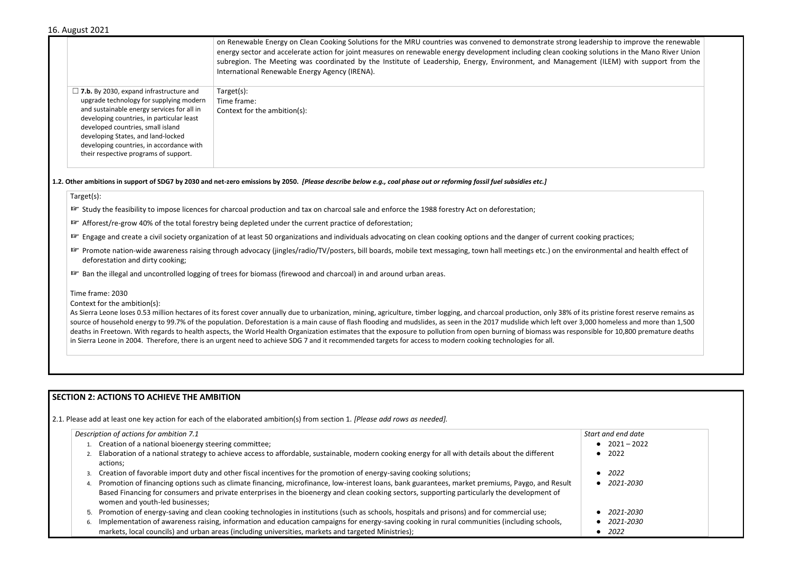### 16. August 2021

| Target(s):<br>$\Box$ 7.b. By 2030, expand infrastructure and<br>upgrade technology for supplying modern<br>Time frame:<br>and sustainable energy services for all in<br>Context for the ambition(s):<br>developing countries, in particular least<br>developed countries, small island<br>developing States, and land-locked<br>developing countries, in accordance with<br>their respective programs of support. |  | on Renewable Energy on Clean Cooking Solutions for the MRU countries was convened to demonstrate strong leadership to improve the renewable<br>energy sector and accelerate action for joint measures on renewable energy development including clean cooking solutions in the Mano River Union<br>subregion. The Meeting was coordinated by the Institute of Leadership, Energy, Environment, and Management (ILEM) with support from the<br>International Renewable Energy Agency (IRENA). |
|-------------------------------------------------------------------------------------------------------------------------------------------------------------------------------------------------------------------------------------------------------------------------------------------------------------------------------------------------------------------------------------------------------------------|--|----------------------------------------------------------------------------------------------------------------------------------------------------------------------------------------------------------------------------------------------------------------------------------------------------------------------------------------------------------------------------------------------------------------------------------------------------------------------------------------------|
|                                                                                                                                                                                                                                                                                                                                                                                                                   |  |                                                                                                                                                                                                                                                                                                                                                                                                                                                                                              |

#### **1.2. Other ambitions in support of SDG7 by 2030 and net-zero emissions by 2050.** *[Please describe below e.g., coal phase out or reforming fossil fuel subsidies etc.]*

#### Target(s):

☞ Study the feasibility to impose licences for charcoal production and tax on charcoal sale and enforce the 1988 forestry Act on deforestation;

As Sierra Leone loses 0.53 million hectares of its forest cover annually due to urbanization, mining, agriculture, timber logging, and charcoal production, only 38% of its pri source of household energy to 99.7% of the population. Deforestation is a main cause of flash flooding and mudslides, as seen in the 2017 mudslide which left over 3,000 deaths in Freetown. With regards to health aspects, the World Health Organization estimates that the exposure to pollution from open burning of biomass was responsibl in Sierra Leone in 2004. Therefore, there is an urgent need to achieve SDG 7 and it recommended targets for access to modern cooking technologies for all.

- ☞ Afforest/re-grow 40% of the total forestry being depleted under the current practice of deforestation;
- **■** Engage and create a civil society organization of at least 50 organizations and individuals advocating on clean cooking options and the danger of current cooking
- **IF** Promote nation-wide awareness raising through advocacy (jingles/radio/TV/posters, bill boards, mobile text messaging, town hall meetings etc.) on the environ deforestation and dirty cooking;
- ☞ Ban the illegal and uncontrolled logging of trees for biomass (firewood and charcoal) in and around urban areas.

#### Time frame: 2030

Context for the ambition(s):

## **SECTION 2: ACTIONS TO ACHIEVE THE AMBITION**

2.1. Please add at least one key action for each of the elaborated ambition(s) from section 1. *[Please add rows as needed].*

| Description of actions for ambition 7.1                                                                                                                                                                                                                                                                                            | <b>Start</b> |
|------------------------------------------------------------------------------------------------------------------------------------------------------------------------------------------------------------------------------------------------------------------------------------------------------------------------------------|--------------|
| 1. Creation of a national bioenergy steering committee;                                                                                                                                                                                                                                                                            |              |
| 2. Elaboration of a national strategy to achieve access to affordable, sustainable, modern cooking energy for all with details about the different<br>actions;                                                                                                                                                                     |              |
| 3. Creation of favorable import duty and other fiscal incentives for the promotion of energy-saving cooking solutions;                                                                                                                                                                                                             |              |
| Promotion of financing options such as climate financing, microfinance, low-interest loans, bank guarantees, market premiums, Paygo, and Result<br>Based Financing for consumers and private enterprises in the bioenergy and clean cooking sectors, supporting particularly the development of<br>women and youth-led businesses; |              |
| 5. Promotion of energy-saving and clean cooking technologies in institutions (such as schools, hospitals and prisons) and for commercial use;                                                                                                                                                                                      |              |
| Implementation of awareness raising, information and education campaigns for energy-saving cooking in rural communities (including schools,<br>6.<br>markets, local councils) and urban areas (including universities, markets and targeted Ministries);                                                                           |              |

| adership to improve the renewable<br>g solutions in the Mano River Union |  |
|--------------------------------------------------------------------------|--|
|                                                                          |  |
| ent (ILEM) with support from the                                         |  |
|                                                                          |  |
|                                                                          |  |
|                                                                          |  |
|                                                                          |  |
|                                                                          |  |
|                                                                          |  |
|                                                                          |  |
|                                                                          |  |
|                                                                          |  |
|                                                                          |  |
|                                                                          |  |
|                                                                          |  |
|                                                                          |  |
|                                                                          |  |
|                                                                          |  |
|                                                                          |  |
|                                                                          |  |
|                                                                          |  |
|                                                                          |  |
|                                                                          |  |
|                                                                          |  |
|                                                                          |  |
| oking practices;                                                         |  |
|                                                                          |  |
| vironmental and health effect of                                         |  |
|                                                                          |  |
|                                                                          |  |
|                                                                          |  |
|                                                                          |  |
|                                                                          |  |
|                                                                          |  |
|                                                                          |  |
| ts pristine forest reserve remains as                                    |  |
| 000 homeless and more than 1,500                                         |  |
| nsible for 10,800 premature deaths                                       |  |
|                                                                          |  |
|                                                                          |  |
|                                                                          |  |
|                                                                          |  |
|                                                                          |  |
|                                                                          |  |
|                                                                          |  |
|                                                                          |  |
|                                                                          |  |
|                                                                          |  |
|                                                                          |  |
|                                                                          |  |
|                                                                          |  |
|                                                                          |  |
| Start and end date                                                       |  |
| $2021 - 2022$                                                            |  |
| 2022                                                                     |  |
|                                                                          |  |
|                                                                          |  |
| 2022                                                                     |  |
| 2021-2030                                                                |  |
|                                                                          |  |
|                                                                          |  |
|                                                                          |  |
| 2021-2030                                                                |  |
| 2021-2030                                                                |  |
| 2022                                                                     |  |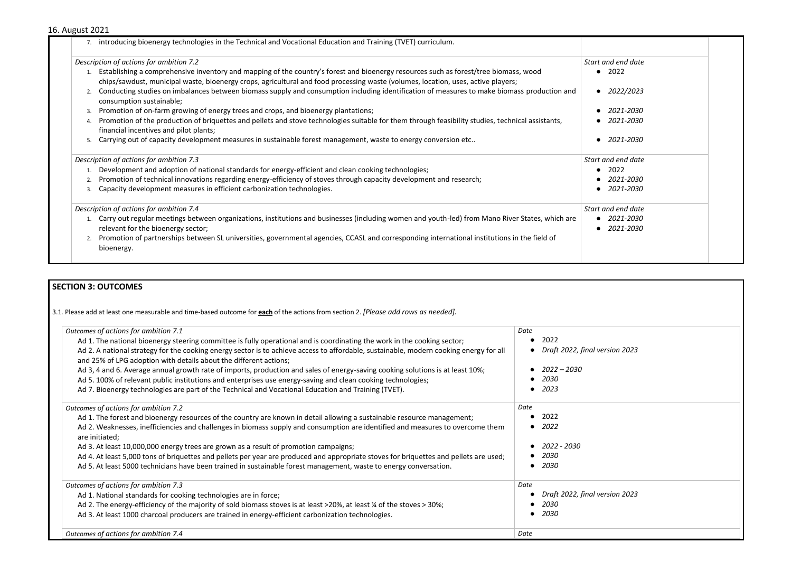## 16. August 2021

| Description of actions for ambition 7.2                                                                                                                                                                                                                                   | Start and end date     |
|---------------------------------------------------------------------------------------------------------------------------------------------------------------------------------------------------------------------------------------------------------------------------|------------------------|
| Establishing a comprehensive inventory and mapping of the country's forest and bioenergy resources such as forest/tree biomass, wood<br>chips/sawdust, municipal waste, bioenergy crops, agricultural and food processing waste (volumes, location, uses, active players; | • 2022                 |
| Conducting studies on imbalances between biomass supply and consumption including identification of measures to make biomass production and<br>consumption sustainable;                                                                                                   | 2022/2023<br>$\bullet$ |
| Promotion of on-farm growing of energy trees and crops, and bioenergy plantations;<br>3.                                                                                                                                                                                  | 2021-2030              |
| Promotion of the production of briquettes and pellets and stove technologies suitable for them through feasibility studies, technical assistants,<br>$\overline{4}$<br>financial incentives and pilot plants;                                                             | 2021-2030              |
| Carrying out of capacity development measures in sustainable forest management, waste to energy conversion etc<br>5.                                                                                                                                                      | 2021-2030              |
| Description of actions for ambition 7.3                                                                                                                                                                                                                                   | Start and end date     |
| Development and adoption of national standards for energy-efficient and clean cooking technologies;                                                                                                                                                                       | 2022<br>$\bullet$      |
| Promotion of technical innovations regarding energy-efficiency of stoves through capacity development and research;                                                                                                                                                       | 2021-2030              |
| Capacity development measures in efficient carbonization technologies.<br>3.                                                                                                                                                                                              | $\bullet$ 2021-2030    |
| Description of actions for ambition 7.4                                                                                                                                                                                                                                   | Start and end date     |
| 1. Carry out regular meetings between organizations, institutions and businesses (including women and youth-led) from Mano River States, which are                                                                                                                        | $\bullet$ 2021-2030    |
| relevant for the bioenergy sector;                                                                                                                                                                                                                                        | $\bullet$ 2021-2030    |
| Promotion of partnerships between SL universities, governmental agencies, CCASL and corresponding international institutions in the field of<br>bioenergy.                                                                                                                |                        |

# **SECTION 3: OUTCOMES**

3.1*.* Please add at least one measurable and time-based outcome for **each** of the actions from section 2. *[Please add rows as needed].*

● *Draft 2022, final version 2023*

| Outcomes of actions for ambition 7.1                                                                                                                                                                        | Date                |
|-------------------------------------------------------------------------------------------------------------------------------------------------------------------------------------------------------------|---------------------|
| Ad 1. The national bioenergy steering committee is fully operational and is coordinating the work in the cooking sector;                                                                                    | 2022                |
| Ad 2. A national strategy for the cooking energy sector is to achieve access to affordable, sustainable, modern cooking energy for all<br>and 25% of LPG adoption with details about the different actions; | Draft 2022, final v |
| Ad 3, 4 and 6. Average annual growth rate of imports, production and sales of energy-saving cooking solutions is at least 10%;                                                                              | 2022 – 2030         |
| Ad 5. 100% of relevant public institutions and enterprises use energy-saving and clean cooking technologies;                                                                                                | 2030                |
| Ad 7. Bioenergy technologies are part of the Technical and Vocational Education and Training (TVET).                                                                                                        | 2023                |
| Outcomes of actions for ambition 7.2                                                                                                                                                                        | Date                |
| Ad 1. The forest and bioenergy resources of the country are known in detail allowing a sustainable resource management;                                                                                     | 2022                |
| Ad 2. Weaknesses, inefficiencies and challenges in biomass supply and consumption are identified and measures to overcome them<br>are initiated;                                                            | 2022                |
| Ad 3. At least 10,000,000 energy trees are grown as a result of promotion campaigns;                                                                                                                        | 2022 - 2030         |
| Ad 4. At least 5,000 tons of briquettes and pellets per year are produced and appropriate stoves for briquettes and pellets are used;                                                                       | 2030                |
| Ad 5. At least 5000 technicians have been trained in sustainable forest management, waste to energy conversation.                                                                                           | 2030                |
| Outcomes of actions for ambition 7.3                                                                                                                                                                        | Date                |
| Ad 1. National standards for cooking technologies are in force;                                                                                                                                             | Draft 2022, final v |
| Ad 2. The energy-efficiency of the majority of sold biomass stoves is at least >20%, at least ¼ of the stoves > 30%;                                                                                        | 2030                |
| Ad 3. At least 1000 charcoal producers are trained in energy-efficient carbonization technologies.                                                                                                          | 2030                |
| Outcomes of actions for ambition 7.4                                                                                                                                                                        | Date                |

● *Draft 2022, final version 2023*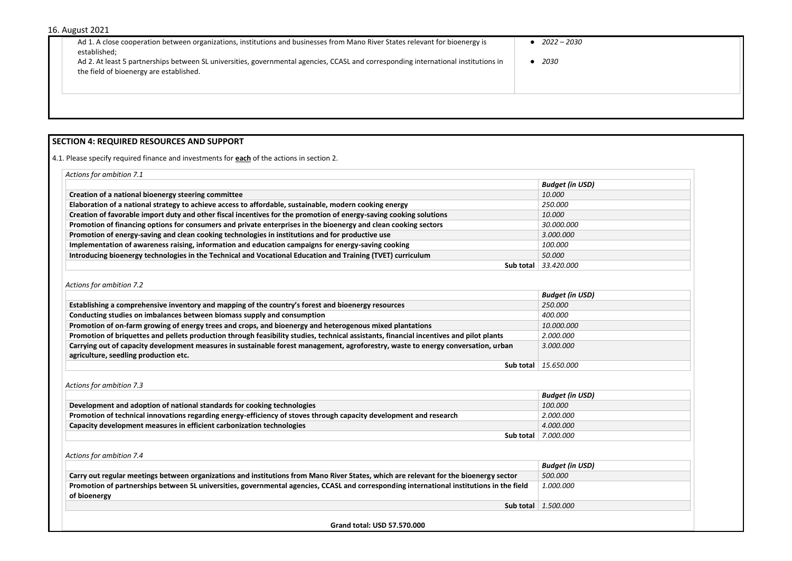| 16. August 2021                                                                                                                                                                                                                                                                                                                 |                     |
|---------------------------------------------------------------------------------------------------------------------------------------------------------------------------------------------------------------------------------------------------------------------------------------------------------------------------------|---------------------|
| Ad 1. A close cooperation between organizations, institutions and businesses from Mano River States relevant for bioenergy is<br>established;<br>Ad 2. At least 5 partnerships between SL universities, governmental agencies, CCASL and corresponding international institutions in<br>the field of bioenergy are established. | 2022 – 2030<br>2030 |
|                                                                                                                                                                                                                                                                                                                                 |                     |

## **SECTION 4: REQUIRED RESOURCES AND SUPPORT**

4.1. Please specify required finance and investments for **each** of the actions in section 2.

| Actions for ambition 7.1                                                                                           |                                 |
|--------------------------------------------------------------------------------------------------------------------|---------------------------------|
|                                                                                                                    | <b>Budget (in USD)</b>          |
| Creation of a national bioenergy steering committee                                                                | 10.000                          |
| Elaboration of a national strategy to achieve access to affordable, sustainable, modern cooking energy             | 250.000                         |
| Creation of favorable import duty and other fiscal incentives for the promotion of energy-saving cooking solutions | 10.000                          |
| Promotion of financing options for consumers and private enterprises in the bioenergy and clean cooking sectors    | 30.000.000                      |
| Promotion of energy-saving and clean cooking technologies in institutions and for productive use                   | 3.000.000                       |
| Implementation of awareness raising, information and education campaigns for energy-saving cooking                 | 100.000                         |
| Introducing bioenergy technologies in the Technical and Vocational Education and Training (TVET) curriculum        | 50.000                          |
|                                                                                                                    | <b>Sub total</b> $  33,420,000$ |

## *Actions for ambition 7.2*

|                                                                                                                                         | <b>Budget (in USD)</b>             |
|-----------------------------------------------------------------------------------------------------------------------------------------|------------------------------------|
| Establishing a comprehensive inventory and mapping of the country's forest and bioenergy resources                                      | 250.000                            |
| Conducting studies on imbalances between biomass supply and consumption                                                                 | <i>400.000</i>                     |
| Promotion of on-farm growing of energy trees and crops, and bioenergy and heterogenous mixed plantations                                | <i>10.000.000</i>                  |
| Promotion of briquettes and pellets production through feasibility studies, technical assistants, financial incentives and pilot plants | 2.000.000                          |
| Carrying out of capacity development measures in sustainable forest management, agroforestry, waste to energy conversation, urban       | 3.000.000                          |
| agriculture, seedling production etc.                                                                                                   |                                    |
|                                                                                                                                         | <b>Sub total</b> $\mid$ 15.650.000 |

*Actions for ambition 7.3* 

|                                                                                                                    | <b>Budget (in USD)</b>     |
|--------------------------------------------------------------------------------------------------------------------|----------------------------|
| Development and adoption of national standards for cooking technologies                                            | 100.000                    |
| Promotion of technical innovations regarding energy-efficiency of stoves through capacity development and research | 2.000.000                  |
| Capacity development measures in efficient carbonization technologies                                              | <i>4.000.000</i>           |
|                                                                                                                    | <b>Sub total</b> 7.000.000 |

*Actions for ambition 7.4* 

|                                                                                                                                           | <b>Budget (in USD)</b>      |
|-------------------------------------------------------------------------------------------------------------------------------------------|-----------------------------|
| Carry out regular meetings between organizations and institutions from Mano River States, which are relevant for the bioenergy sector     | 500.000                     |
| Promotion of partnerships between SL universities, governmental agencies, CCASL and corresponding international institutions in the field | 1.000.000                   |
| of bioenergy                                                                                                                              |                             |
|                                                                                                                                           | Sub total $\vert$ 1.500.000 |

**Grand total: USD 57.570.000**

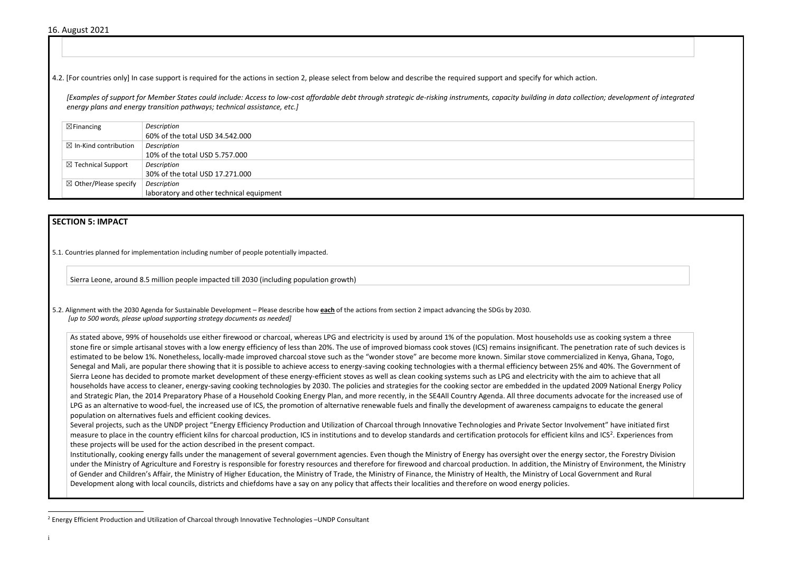4.2. [For countries only] In case support is required for the actions in section 2, please select from below and describe the required support and specify for which action.

*[Examples of support for Member States could include: Access to low-cost affordable debt through strategic de-risking instruments, capacity building in data collection; development of integrated energy plans and energy transition pathways; technical assistance, etc.]*

| $\boxtimes$ Financing            | Description                              |
|----------------------------------|------------------------------------------|
|                                  | 60% of the total USD 34.542.000          |
| $\boxtimes$ In-Kind contribution | Description                              |
|                                  | 10% of the total USD 5.757.000           |
| $\boxtimes$ Technical Support    | Description                              |
|                                  | 30% of the total USD 17.271.000          |
| $\boxtimes$ Other/Please specify | Description                              |
|                                  | laboratory and other technical equipment |

## **SECTION 5: IMPACT**

5.1. Countries planned for implementation including number of people potentially impacted.

Sierra Leone, around 8.5 million people impacted till 2030 (including population growth)

5.2. Alignment with the 2030 Agenda for Sustainable Development – Please describe how **each** of the actions from section 2 impact advancing the SDGs by 2030. *[up to 500 words, please upload supporting strategy documents as needed]* 

As stated above, 99% of households use either firewood or charcoal, whereas LPG and electricity is used by around 1% of the population. Most households use as cooking system a three stone fire or simple artisanal stoves with a low energy efficiency of less than 20%. The use of improved biomass cook stoves (ICS) remains insignificant. The penetration rate of such devices is estimated to be below 1%. Nonetheless, locally-made improved charcoal stove such as the "wonder stove" are become more known. Similar stove commercialized in Kenya, Ghana, Togo, Senegal and Mali, are popular there showing that it is possible to achieve access to energy-saving cooking technologies with a thermal efficiency between 25% and 40%. The Government of Sierra Leone has decided to promote market development of these energy-efficient stoves as well as clean cooking systems such as LPG and electricity with the aim to achieve that all households have access to cleaner, energy-saving cooking technologies by 2030. The policies and strategies for the cooking sector are embedded in the updated 2009 National Energy Policy and Strategic Plan, the 2014 Preparatory Phase of a Household Cooking Energy Plan, and more recently, in the SE4All Country Agenda. All three documents advocate for the increased use of LPG as an alternative to wood-fuel, the increased use of ICS, the promotion of alternative renewable fuels and finally the development of awareness campaigns to educate the general population on alternatives fuels and efficient cooking devices.

Several projects, such as the UNDP project "Energy Efficiency Production and Utilization of Charcoal through Innovative Technologies and Private Sector Involvement" have initiated first measure to place in the country efficient kilns for charcoal production, ICS in institutions and to develop standards and certification protocols for efficient kilns and ICS<sup>2</sup>. Experiences from these projects will be used for the action described in the present compact.

Institutionally, cooking energy falls under the management of several government agencies. Even though the Ministry of Energy has oversight over the energy sector, the Forestry Division under the Ministry of Agriculture and Forestry is responsible for forestry resources and therefore for firewood and charcoal production. In addition, the Ministry of Environment, the Ministry of Gender and Children's Affair, the Ministry of Higher Education, the Ministry of Trade, the Ministry of Finance, the Ministry of Health, the Ministry of Local Government and Rural Development along with local councils, districts and chiefdoms have a say on any policy that affects their localities and therefore on wood energy policies.





<sup>&</sup>lt;sup>2</sup> Energy Efficient Production and Utilization of Charcoal through Innovative Technologies –UNDP Consultant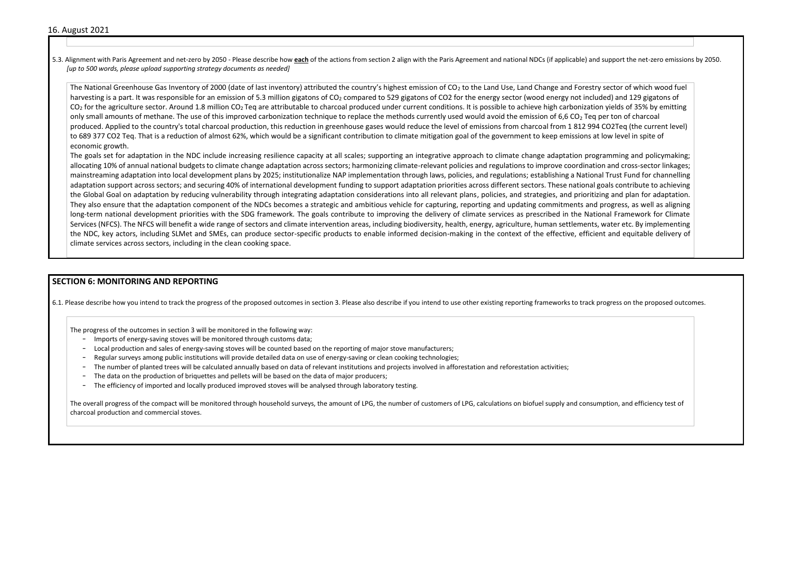5.3. Alignment with Paris Agreement and net-zero by 2050 - Please describe how each of the actions from section 2 align with the Paris Agreement and national NDCs (if applicable) and *[up to 500 words, please upload supporting strategy documents as needed]* 

The National Greenhouse Gas Inventory of 2000 (date of last inventory) attributed the country's highest emission of  $CO<sub>2</sub>$  to the Land Use, Land Change and Forestry harvesting is a part. It was responsible for an emission of 5.3 million gigatons of  $CO<sub>2</sub>$  compared to 529 gigatons of CO2 for the energy sector (wood energy not inclu  $CO<sub>2</sub>$  for the agriculture sector. Around 1.8 million  $CO<sub>2</sub>$  Teq are attributable to charcoal produced under current conditions. It is possible to achieve high carbonizatio only small amounts of methane. The use of this improved carbonization technique to replace the methods currently used would avoid the emission of 6,6 CO<sub>2</sub> Teq produced. Applied to the country's total charcoal production, this reduction in greenhouse gases would reduce the level of emissions from charcoal from 1812 994 to 689 377 CO2 Teq. That is a reduction of almost 62%, which would be a significant contribution to climate mitigation goal of the government to keep emissions a economic growth.

The goals set for adaptation in the NDC include increasing resilience capacity at all scales; supporting an integrative approach to climate change adaptation prog allocating 10% of annual national budgets to climate change adaptation across sectors; harmonizing climate-relevant policies and regulations to improve coordination mainstreaming adaptation into local development plans by 2025; institutionalize NAP implementation through laws, policies, and regulations; establishing a National Trust Fund for channelling a National Trust Fund for chann adaptation support across sectors; and securing 40% of international development funding to support adaptation priorities across different sectors. These national the Global Goal on adaptation by reducing vulnerability through integrating adaptation considerations into all relevant plans, policies, and strategies, and prioritizing and prioritizing and prioritizing and prioritizing a They also ensure that the adaptation component of the NDCs becomes a strategic and ambitious vehicle for capturing, reporting and updating commitments and long-term national development priorities with the SDG framework. The goals contribute to improving the delivery of climate services as prescribed in the National Framework for Climate for Climate services as prescribed in Services (NFCS). The NFCS will benefit a wide range of sectors and climate intervention areas, including biodiversity, health, energy, agriculture, human settlements, the NDC, key actors, including SLMet and SMEs, can produce sector-specific products to enable informed decision-making in the context of the effective, efficie climate services across sectors, including in the clean cooking space.

- Imports of energy-saving stoves will be monitored through customs data;
- Local production and sales of energy-saving stoves will be counted based on the reporting of major stove manufacturers;
- Regular surveys among public institutions will provide detailed data on use of energy-saving or clean cooking technologies;
- The number of planted trees will be calculated annually based on data of relevant institutions and projects involved in afforestation and reforestation activities;
- The data on the production of briquettes and pellets will be based on the data of major producers;
- The efficiency of imported and locally produced improved stoves will be analysed through laboratory testing.

The overall progress of the compact will be monitored through household surveys, the amount of LPG, the number of customers of LPG, calculations on biofuel supply and consumption, and efficiency test of charcoal production and commercial stoves.

| d support the net-zero emissions by 2050.                                                                                                                                                                                                                                                      |  |
|------------------------------------------------------------------------------------------------------------------------------------------------------------------------------------------------------------------------------------------------------------------------------------------------|--|
| y sector of which wood fuel<br>ided) and 129 gigatons of<br>on yields of 35% by emitting<br>per ton of charcoal<br>4 CO2Teq (the current level)<br>t low level in spite of                                                                                                                     |  |
| gramming and policymaking;<br>on and cross-sector linkages;<br>al Trust Fund for channelling<br>goals contribute to achieving<br>zing and plan for adaptation.<br>progress, as well as aligning<br>onal Framework for Climate<br>, water etc. By implementing<br>ent and equitable delivery of |  |
|                                                                                                                                                                                                                                                                                                |  |

## **SECTION 6: MONITORING AND REPORTING**

6.1. Please describe how you intend to track the progress of the proposed outcomes in section 3. Please also describe if you intend to use other existing reporting frameworks to track progress on the proposed outcomes.

The progress of the outcomes in section 3 will be monitored in the following way: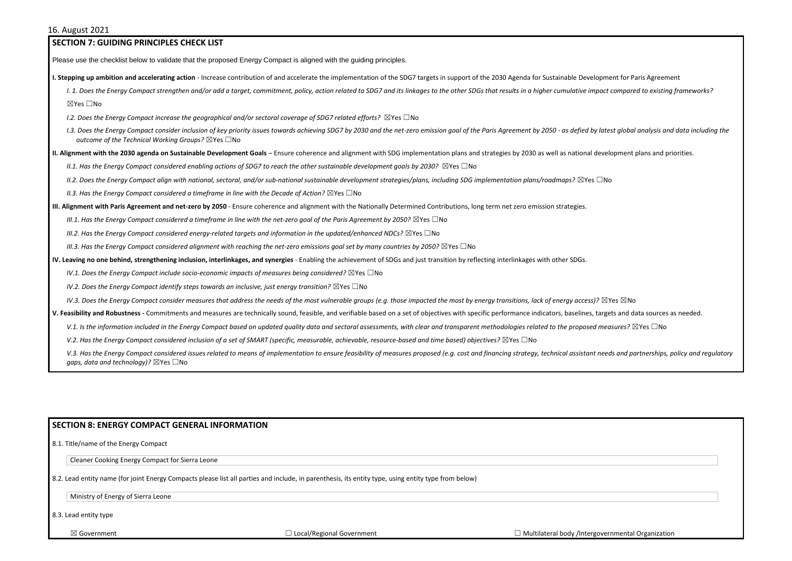## **SECTION 7: GUIDING PRINCIPLES CHECK LIST**  Please use the checklist below to validate that the proposed Energy Compact is aligned with the guiding principles. **I. Stepping up ambition and accelerating action** - Increase contribution of and accelerate the implementation of the SDG7 targets in support of the 2030 Agenda for Sustainable Development for Paris Agreement I. 1. Does the Energy Compact strengthen and/or add a target, commitment, policy, action related to SDG7 and its linkages to the other SDGs that results in a higher cumulative impact compared to existing frameworks? ☒Yes ☐No *I.2. Does the Energy Compact increase the geographical and/or sectoral coverage of SDG7 related efforts?* ⊠Yes □No 1.3. Does the Energy Compact consider inclusion of key priority issues towards achieving SDG7 by 2030 and the net-zero emission goal of the Paris Agreement by 2050 - as defied by latest global analysis and data including t *outcome of the Technical Working Groups?* ☒Yes ☐No **II. Alignment with the 2030 agenda on Sustainable Development Goals** – Ensure coherence and alignment with SDG implementation plans and strategies by 2030 as well as national development plans and priorities. *II.1. Has the Energy Compact considered enabling actions of SDG7 to reach the other sustainable development goals by 2030?* ⊠Yes □No *II.2. Does the Energy Compact align with national, sectoral, and/or sub-national sustainable development strategies/plans, including SDG implementation plans/roadmaps?* ☒Yes ☐No *II.3. Has the Energy Compact considered a timeframe in line with the Decade of Action?* ⊠Yes □No **III. Alignment with Paris Agreement and net-zero by 2050** - Ensure coherence and alignment with the Nationally Determined Contributions, long term net zero emission strategies. *III.1. Has the Energy Compact considered a timeframe in line with the net-zero goal of the Paris Agreement by 2050?* ⊠Yes □No *III.2. Has the Energy Compact considered energy-related targets and information in the updated/enhanced NDCs?* ⊠Yes □No *III.3. Has the Energy Compact considered alignment with reaching the net-zero emissions goal set by many countries by 2050?* ⊠Yes □No **IV. Leaving no one behind, strengthening inclusion, interlinkages, and synergies** - Enabling the achievement of SDGs and just transition by reflecting interlinkages with other SDGs. *IV.1. Does the Energy Compact include socio-economic impacts of measures being considered?* ⊠Yes □No *IV.2. Does the Energy Compact identify steps towards an inclusive, just energy transition?* ⊠Yes □No *IV.3. Does the Energy Compact consider measures that address the needs of the most vulnerable groups (e.g. those impacted the most by energy transitions, lack of energy access)?* ⊠Yes ⊠No V. Feasibility and Robustness - Commitments and measures are technically sound, feasible, and verifiable based on a set of objectives with specific performance indicators, baselines, targets and data sources as needed. V.1. Is the information included in the Energy Compact based on updated quality data and sectoral assessments, with clear and transparent methodologies related to the proposed measures? ⊠Yes □No *V.2. Has the Energy Compact considered inclusion of a set of SMART (specific, measurable, achievable, resource-based and time based) objectives?* ⊠Yes □No V.3. Has the Energy Compact considered issues related to means of implementation to ensure feasibility of measures proposed (e.g. cost and financing strategy, technical assistant needs and partnerships, policy and regulato *gaps, data and technology*)? ⊠Yes □No

## **SECTION 8: ENERGY COMPACT GENERAL INFORMATION**

8.1. Title/name of the Energy Compact

Cleaner Cooking Energy Compact for Sierra Leone

8.2. Lead entity name (for joint Energy Compacts please list all parties and include, in parenthesis, its entity type, using entity type from below)

Ministry of Energy of Sierra Leone

8.3. Lead entity type

| overnmental Organization |  |
|--------------------------|--|
|                          |  |